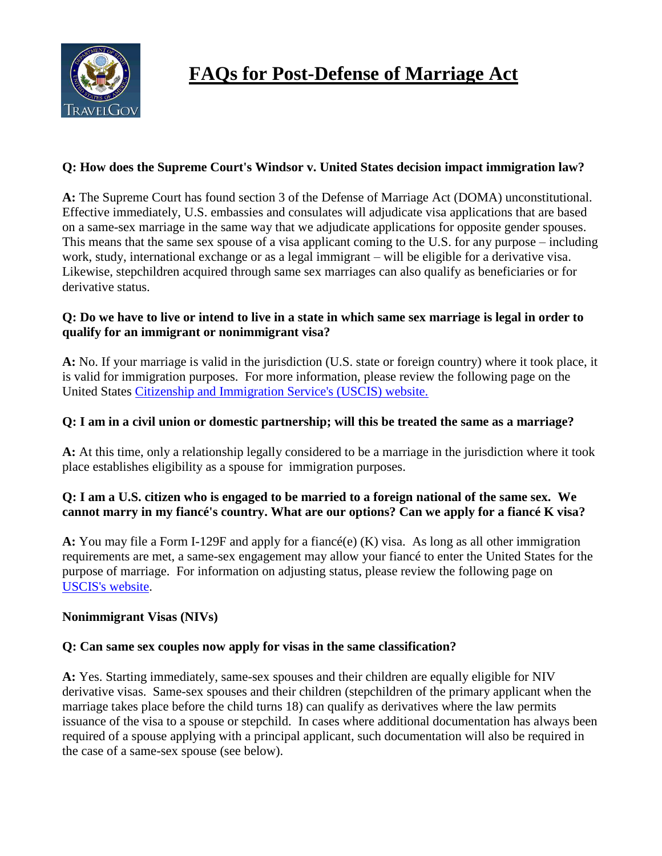

# **FAQs for Post-Defense of Marriage Act**

#### **Q: How does the Supreme Court's Windsor v. United States decision impact immigration law?**

**A:** The Supreme Court has found section 3 of the Defense of Marriage Act (DOMA) unconstitutional. Effective immediately, U.S. embassies and consulates will adjudicate visa applications that are based on a same-sex marriage in the same way that we adjudicate applications for opposite gender spouses. This means that the same sex spouse of a visa applicant coming to the U.S. for any purpose – including work, study, international exchange or as a legal immigrant – will be eligible for a derivative visa. Likewise, stepchildren acquired through same sex marriages can also qualify as beneficiaries or for derivative status.

#### **Q: Do we have to live or intend to live in a state in which same sex marriage is legal in order to qualify for an immigrant or nonimmigrant visa?**

**A:** No. If your marriage is valid in the jurisdiction (U.S. state or foreign country) where it took place, it is valid for immigration purposes. For more information, please review the following page on the United States [Citizenship and Immigration Service's \(USCIS\) website.](http://www.uscis.gov/portal/site/uscis/menuitem.eb1d4c2a3e5b9ac89243c6a7543f6d1a/?vgnextoid=2543215c310af310VgnVCM100000082ca60aRCRD&vgnextchannel=2543215c310af310VgnVCM100000082ca60aRCRD)

## **Q: I am in a civil union or domestic partnership; will this be treated the same as a marriage?**

**A:** At this time, only a relationship legally considered to be a marriage in the jurisdiction where it took place establishes eligibility as a spouse for immigration purposes.

## **Q: I am a U.S. citizen who is engaged to be married to a foreign national of the same sex. We cannot marry in my fiancé's country. What are our options? Can we apply for a fiancé K visa?**

**A:** You may file a Form I-129F and apply for a fiancé(e) (K) visa. As long as all other immigration requirements are met, a same-sex engagement may allow your fiancé to enter the United States for the purpose of marriage. For information on adjusting status, please review the following page on [USCIS's website.](http://www.uscis.gov/portal/site/uscis/menuitem.eb1d4c2a3e5b9ac89243c6a7543f6d1a/?vgnextoid=2da73a4107083210VgnVCM100000082ca60aRCRD&vgnextchannel=2da73a4107083210VgnVCM100000082ca60aRCRD)

#### **Nonimmigrant Visas (NIVs)**

#### **Q: Can same sex couples now apply for visas in the same classification?**

**A:** Yes. Starting immediately, same-sex spouses and their children are equally eligible for NIV derivative visas. Same-sex spouses and their children (stepchildren of the primary applicant when the marriage takes place before the child turns 18) can qualify as derivatives where the law permits issuance of the visa to a spouse or stepchild. In cases where additional documentation has always been required of a spouse applying with a principal applicant, such documentation will also be required in the case of a same-sex spouse (see below).